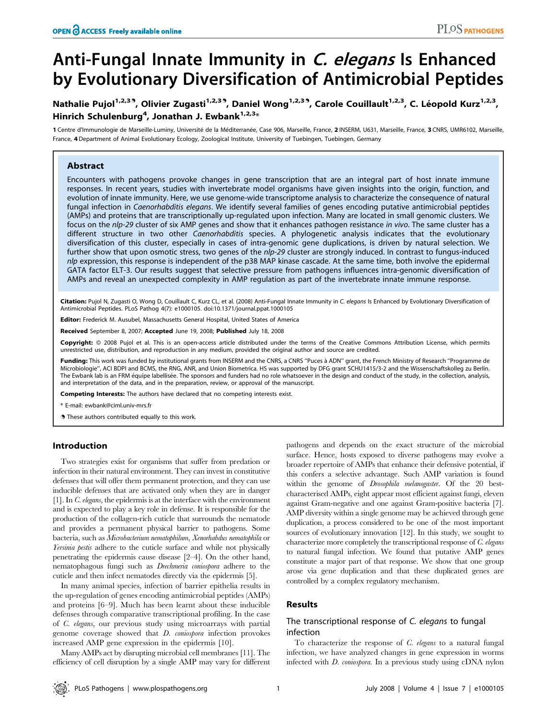# Anti-Fungal Innate Immunity in C. elegans Is Enhanced by Evolutionary Diversification of Antimicrobial Peptides

# Nathalie Pujol<sup>1,2,3</sup><sup>3</sup>, Olivier Zugasti<sup>1,2,3</sup><sup>3</sup>, Daniel Wong<sup>1,2,3</sup><sup>3</sup>, Carole Couillault<sup>1,2,3</sup>, C. Léopold Kurz<sup>1,2,3</sup>, Hinrich Schulenburg<sup>4</sup>, Jonathan J. Ewbank<sup>1,2,3</sup>\*

1 Centre d'Immunologie de Marseille-Luminy, Université de la Méditerranée, Case 906, Marseille, France, 2 INSERM, U631, Marseille, France, 3 CNRS, UMR6102, Marseille, France, 4 Department of Animal Evolutionary Ecology, Zoological Institute, University of Tuebingen, Tuebingen, Germany

## Abstract

Encounters with pathogens provoke changes in gene transcription that are an integral part of host innate immune responses. In recent years, studies with invertebrate model organisms have given insights into the origin, function, and evolution of innate immunity. Here, we use genome-wide transcriptome analysis to characterize the consequence of natural fungal infection in Caenorhabditis elegans. We identify several families of genes encoding putative antimicrobial peptides (AMPs) and proteins that are transcriptionally up-regulated upon infection. Many are located in small genomic clusters. We focus on the nlp-29 cluster of six AMP genes and show that it enhances pathogen resistance in vivo. The same cluster has a different structure in two other Caenorhabditis species. A phylogenetic analysis indicates that the evolutionary diversification of this cluster, especially in cases of intra-genomic gene duplications, is driven by natural selection. We further show that upon osmotic stress, two genes of the nlp-29 cluster are strongly induced. In contrast to fungus-induced nlp expression, this response is independent of the p38 MAP kinase cascade. At the same time, both involve the epidermal GATA factor ELT-3. Our results suggest that selective pressure from pathogens influences intra-genomic diversification of AMPs and reveal an unexpected complexity in AMP regulation as part of the invertebrate innate immune response.

Citation: Pujol N, Zugasti O, Wong D, Couillault C, Kurz CL, et al. (2008) Anti-Fungal Innate Immunity in C. elegans Is Enhanced by Evolutionary Diversification of Antimicrobial Peptides. PLoS Pathog 4(7): e1000105. doi:10.1371/journal.ppat.1000105

Editor: Frederick M. Ausubel, Massachusetts General Hospital, United States of America

Received September 8, 2007; Accepted June 19, 2008; Published July 18, 2008

Copyright: @ 2008 Pujol et al. This is an open-access article distributed under the terms of the Creative Commons Attribution License, which permits unrestricted use, distribution, and reproduction in any medium, provided the original author and source are credited.

Funding: This work was funded by institutional grants from INSERM and the CNRS, a CNRS "Puces à ADN" grant, the French Ministry of Research "Programme de Microbiologie'', ACI BDPI and BCMS, the RNG, ANR, and Union Biometrica. HS was supported by DFG grant SCHU1415/3-2 and the Wissenschaftskolleg zu Berlin. The Ewbank lab is an FRM équipe labellisée. The sponsors and funders had no role whatsoever in the design and conduct of the study, in the collection, analysis, and interpretation of the data, and in the preparation, review, or approval of the manuscript.

Competing Interests: The authors have declared that no competing interests exist.

\* E-mail: ewbank@ciml.univ-mrs.fr

**.** These authors contributed equally to this work.

#### Introduction

Two strategies exist for organisms that suffer from predation or infection in their natural environment. They can invest in constitutive defenses that will offer them permanent protection, and they can use inducible defenses that are activated only when they are in danger [1]. In C. elegans, the epidermis is at the interface with the environment and is expected to play a key role in defense. It is responsible for the production of the collagen-rich cuticle that surrounds the nematode and provides a permanent physical barrier to pathogens. Some bacteria, such as Microbacterium nematophilum, Xenorhabdus nematophila or *Yersinia pestis* adhere to the cuticle surface and while not physically penetrating the epidermis cause disease [2–4]. On the other hand, nematophagous fungi such as Drechmeria coniospora adhere to the cuticle and then infect nematodes directly via the epidermis [5].

In many animal species, infection of barrier epithelia results in the up-regulation of genes encoding antimicrobial peptides (AMPs) and proteins [6–9]. Much has been learnt about these inducible defenses through comparative transcriptional profiling. In the case of C. elegans, our previous study using microarrays with partial genome coverage showed that D. coniospora infection provokes increased AMP gene expression in the epidermis [10].

Many AMPs act by disrupting microbial cell membranes [11]. The efficiency of cell disruption by a single AMP may vary for different pathogens and depends on the exact structure of the microbial surface. Hence, hosts exposed to diverse pathogens may evolve a broader repertoire of AMPs that enhance their defensive potential, if this confers a selective advantage. Such AMP variation is found within the genome of Drosophila melanogaster. Of the 20 bestcharacterised AMPs, eight appear most efficient against fungi, eleven against Gram-negative and one against Gram-positive bacteria [7]. AMP diversity within a single genome may be achieved through gene duplication, a process considered to be one of the most important sources of evolutionary innovation [12]. In this study, we sought to characterize more completely the transcriptional response of C. elegans to natural fungal infection. We found that putative AMP genes constitute a major part of that response. We show that one group arose via gene duplication and that these duplicated genes are controlled by a complex regulatory mechanism.

# Results

## The transcriptional response of C. elegans to fungal infection

To characterize the response of C. elegans to a natural fungal infection, we have analyzed changes in gene expression in worms infected with D. coniospora. In a previous study using cDNA nylon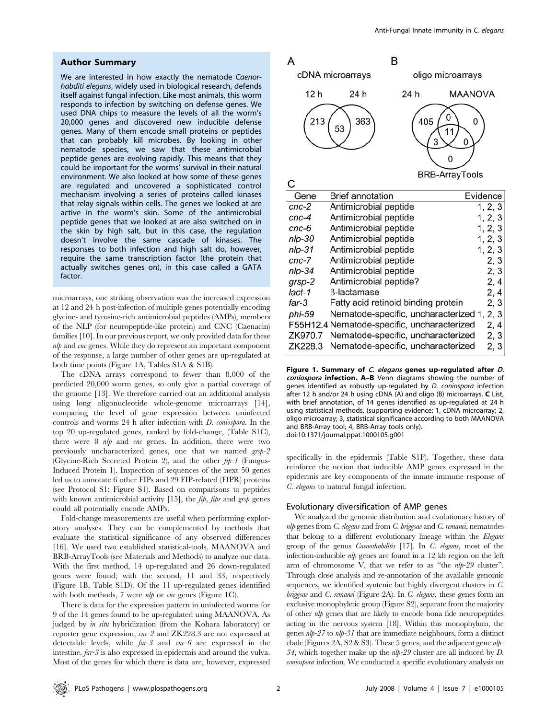#### Author Summary

We are interested in how exactly the nematode Caenorhabditi elegans, widely used in biological research, defends itself against fungal infection. Like most animals, this worm responds to infection by switching on defense genes. We used DNA chips to measure the levels of all the worm's 20,000 genes and discovered new inducible defense genes. Many of them encode small proteins or peptides that can probably kill microbes. By looking in other nematode species, we saw that these antimicrobial peptide genes are evolving rapidly. This means that they could be important for the worms' survival in their natural environment. We also looked at how some of these genes are regulated and uncovered a sophisticated control mechanism involving a series of proteins called kinases that relay signals within cells. The genes we looked at are active in the worm's skin. Some of the antimicrobial peptide genes that we looked at are also switched on in the skin by high salt, but in this case, the regulation doesn't involve the same cascade of kinases. The responses to both infection and high salt do, however, require the same transcription factor (the protein that actually switches genes on), in this case called a GATA factor.

microarrays, one striking observation was the increased expression at 12 and 24 h post-infection of multiple genes potentially encoding glycine- and tyrosine-rich antimicrobial peptides (AMPs), members of the NLP (for neuropeptide-like protein) and CNC (Caenacin) families [10]. In our previous report, we only provided data for these nlp and cnc genes. While they do represent an important component of the response, a large number of other genes are up-regulated at both time points (Figure 1A, Tables S1A & S1B).

The cDNA arrays correspond to fewer than 8,000 of the predicted 20,000 worm genes, so only give a partial coverage of the genome [13]. We therefore carried out an additional analysis using long oligonucleotide whole-genome microarrays [14], comparing the level of gene expression between uninfected controls and worms 24 h after infection with D. coniospora. In the top 20 up-regulated genes, ranked by fold-change, (Table S1C), there were 8 nlp and cnc genes. In addition, there were two previously uncharacterized genes, one that we named grsp-2 (Glycine-Rich Secreted Protein 2), and the other fip-1 (Fungus-Induced Protein 1). Inspection of sequences of the next 50 genes led us to annotate 6 other FIPs and 29 FIP-related (FIPR) proteins (see Protocol S1; Figure S1). Based on comparisons to peptides with known antimicrobial activity  $[15]$ , the *fip*, *fipr* and *grsp* genes could all potentially encode AMPs.

Fold-change measurements are useful when performing exploratory analyses. They can be complemented by methods that evaluate the statistical significance of any observed differences [16]. We used two established statistical-tools, MAANOVA and BRB-ArrayTools (see Materials and Methods) to analyze our data. With the first method, 14 up-regulated and 26 down-regulated genes were found; with the second, 11 and 33, respectively (Figure 1B, Table S1D). Of the 11 up-regulated genes identified with both methods, 7 were *nlp* or *cnc* genes (Figure 1C).

There is data for the expression pattern in uninfected worms for 9 of the 14 genes found to be up-regulated using MAANOVA. As judged by in situ hybridization (from the Kohara laboratory) or reporter gene expression, cnc-2 and ZK228.3 are not expressed at detectable levels, while far-3 and cnc-6 are expressed in the intestine. far-3 is also expressed in epidermis and around the vulva. Most of the genes for which there is data are, however, expressed

| А                |                                             | B    |                                                 |          |  |
|------------------|---------------------------------------------|------|-------------------------------------------------|----------|--|
| cDNA microarrays |                                             |      | oligo microarrays                               |          |  |
| 12 h             | 24 h                                        | 24 h | MAANOVA                                         |          |  |
| 213              | 363<br>53                                   | 405  | 0<br>O<br>11<br>3<br>0<br><b>BRB-ArrayTools</b> |          |  |
|                  |                                             |      |                                                 |          |  |
| Gene             | <b>Brief annotation</b>                     |      |                                                 | Evidence |  |
| $cnc-2$          | Antimicrobial peptide                       |      |                                                 | 1, 2, 3  |  |
| cnc-4            | Antimicrobial peptide                       |      |                                                 | 1, 2, 3  |  |
| $cnc-6$          | Antimicrobial peptide                       |      |                                                 | 1, 2, 3  |  |
| nlp-30           | Antimicrobial peptide                       |      |                                                 | 1, 2, 3  |  |
| $nlp-31$         | Antimicrobial peptide                       |      |                                                 | 1, 2, 3  |  |
| cnc-7            | Antimicrobial peptide                       |      |                                                 | 2, 3     |  |
| nlp-34           | Antimicrobial peptide                       |      |                                                 | 2, 3     |  |
| grsp-2           | Antimicrobial peptide?                      |      |                                                 | 2, 4     |  |
| lact-1           | β-lactamase                                 |      |                                                 | 2, 4     |  |
| far-3            | Fatty acid retinoid binding protein         |      |                                                 | 2, 3     |  |
| phi-59           | Nematode-specific, uncharacterized 1, 2, 3  |      |                                                 |          |  |
|                  | F55H12.4 Nematode-specific, uncharacterized |      |                                                 | 2, 4     |  |
| ZK970.7          | Nematode-specific, uncharacterized          |      |                                                 | 2, 3     |  |
| ZK228.3          | Nematode-specific, uncharacterized          |      |                                                 | 2, 3     |  |

Figure 1. Summary of C. elegans genes up-regulated after D. coniospora infection. A-B Venn diagrams showing the number of genes identified as robustly up-regulated by D. coniospora infection after 12 h and/or 24 h using cDNA (A) and oligo (B) microarrays. C List, with brief annotation, of 14 genes identified as up-regulated at 24 h using statistical methods, (supporting evidence: 1, cDNA microarray; 2, oligo microarray; 3, statistical significance according to both MAANOVA and BRB-Array tool; 4, BRB-Array tools only). doi:10.1371/journal.ppat.1000105.g001

specifically in the epidermis (Table S1F). Together, these data reinforce the notion that inducible AMP genes expressed in the epidermis are key components of the innate immune response of C. elegans to natural fungal infection.

#### Evolutionary diversification of AMP genes

We analyzed the genomic distribution and evolutionary history of nlp genes from C. elegans and from C. briggsae and C. remanei, nematodes that belong to a different evolutionary lineage within the Elegans group of the genus Caenorhabditis [17]. In C. elegans, most of the infection-inducible *nlp* genes are found in a 12 kb region on the left arm of chromosome V, that we refer to as ''the nlp-29 cluster''. Through close analysis and re-annotation of the available genomic sequences, we identified syntenic but highly divergent clusters in C. briggsae and C. remanei (Figure 2A). In C. elegans, these genes form an exclusive monophyletic group (Figure S2), separate from the majority of other  $nlp$  genes that are likely to encode bona fide neuropeptides acting in the nervous system [18]. Within this monophylum, the genes  $nlp-27$  to  $nlp-31$  that are immediate neighbours, form a distinct clade (Figures 2A, S2 & S3). These 5 genes, and the adjacent gene nlp-34, which together make up the  $nlp-29$  cluster are all induced by  $D$ . coniospora infection. We conducted a specific evolutionary analysis on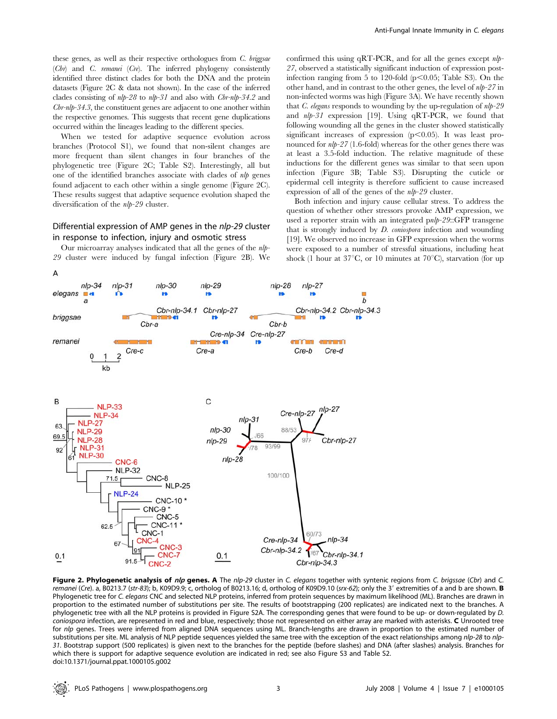When we tested for adaptive sequence evolution across branches (Protocol S1), we found that non-silent changes are more frequent than silent changes in four branches of the phylogenetic tree (Figure 2C; Table S2). Interestingly, all but one of the identified branches associate with clades of nlp genes found adjacent to each other within a single genome (Figure 2C). These results suggest that adaptive sequence evolution shaped the diversification of the *nlp-29* cluster.

## Differential expression of AMP genes in the nlp-29 cluster in response to infection, injury and osmotic stress

Our microarray analyses indicated that all the genes of the nlp-29 cluster were induced by fungal infection (Figure 2B). We confirmed this using  $qRT-PCR$ , and for all the genes except  $nlp-$ 27, observed a statistically significant induction of expression postinfection ranging from 5 to 120-fold ( $p<0.05$ ; Table S3). On the other hand, and in contrast to the other genes, the level of nlp-27 in non-infected worms was high (Figure 3A). We have recently shown that  $C$ . elegans responds to wounding by the up-regulation of  $nlp-29$ and  $nlp-31$  expression [19]. Using qRT-PCR, we found that following wounding all the genes in the cluster showed statistically significant increases of expression  $(p<0.05)$ . It was least pronounced for nlp-27 (1.6-fold) whereas for the other genes there was at least a 3.5-fold induction. The relative magnitude of these inductions for the different genes was similar to that seen upon infection (Figure 3B; Table S3). Disrupting the cuticle or epidermal cell integrity is therefore sufficient to cause increased expression of all of the genes of the nlp-29 cluster.

Both infection and injury cause cellular stress. To address the question of whether other stressors provoke AMP expression, we used a reporter strain with an integrated pnlp-29::GFP transgene that is strongly induced by D. coniospora infection and wounding [19]. We observed no increase in GFP expression when the worms were exposed to a number of stressful situations, including heat shock (1 hour at  $37^{\circ}$ C, or 10 minutes at  $70^{\circ}$ C), starvation (for up



Figure 2. Phylogenetic analysis of nlp genes. A The nlp-29 cluster in C. elegans together with syntenic regions from C. brigssae (Cbr) and C. remanei (Cre). a, B0213.7 (str-83); b, K09D9.9; c, ortholog of B0213.16; d, ortholog of K09D9.10 (srx-62); only the 3' extremities of a and b are shown. **B** Phylogenetic tree for C. elegans CNC and selected NLP proteins, inferred from protein sequences by maximum likelihood (ML). Branches are drawn in proportion to the estimated number of substitutions per site. The results of bootstrapping (200 replicates) are indicated next to the branches. A phylogenetic tree with all the NLP proteins is provided in Figure S2A. The corresponding genes that were found to be up- or down-regulated by D. coniospora infection, are represented in red and blue, respectively; those not represented on either array are marked with asterisks. C Unrooted tree for nlp genes. Trees were inferred from aligned DNA sequences using ML. Branch-lengths are drawn in proportion to the estimated number of substitutions per site. ML analysis of NLP peptide sequences yielded the same tree with the exception of the exact relationships among nlp-28 to nlp-31. Bootstrap support (500 replicates) is given next to the branches for the peptide (before slashes) and DNA (after slashes) analysis. Branches for which there is support for adaptive sequence evolution are indicated in red; see also Figure S3 and Table S2. doi:10.1371/journal.ppat.1000105.g002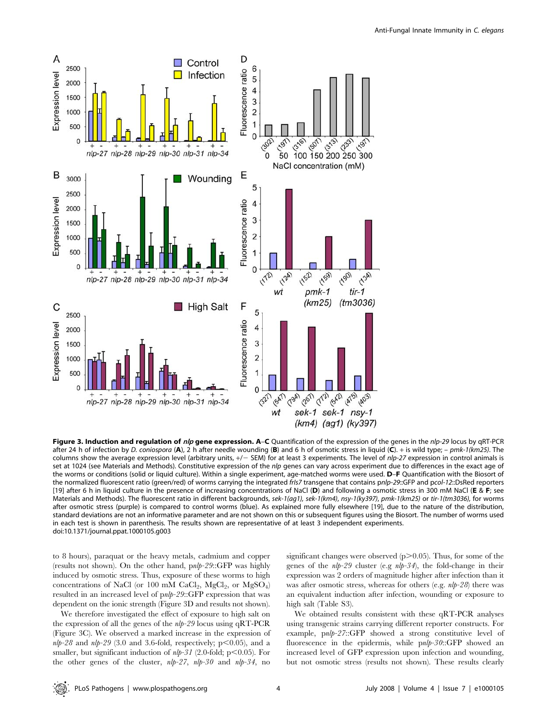

Figure 3. Induction and regulation of nlp gene expression. A-C Quantification of the expression of the genes in the nlp-29 locus by qRT-PCR after 24 h of infection by D. coniospora (A), 2 h after needle wounding (B) and 6 h of osmotic stress in liquid (C). + is wild type; - pmk-1(km25). The columns show the average expression level (arbitrary units,  $+/-$  SEM) for at least 3 experiments. The level of nlp-27 expression in control animals is set at 1024 (see Materials and Methods). Constitutive expression of the nlp genes can vary across experiment due to differences in the exact age of the worms or conditions (solid or liquid culture). Within a single experiment, age-matched worms were used. D-F Quantification with the Biosort of the normalized fluorescent ratio (green/red) of worms carrying the integrated frIs7 transgene that contains pnlp-29::GFP and pcol-12::DsRed reporters [19] after 6 h in liquid culture in the presence of increasing concentrations of NaCl (D) and following a osmotic stress in 300 mM NaCl (E & F; see Materials and Methods). The fluorescent ratio in different backgrounds, sek-1(ag1), sek-1(km4), nsy-1(ky397), pmk-1(km25) or tir-1(tm3036), for worms after osmotic stress (purple) is compared to control worms (blue). As explained more fully elsewhere [19], due to the nature of the distribution, standard deviations are not an informative parameter and are not shown on this or subsequent figures using the Biosort. The number of worms used in each test is shown in parenthesis. The results shown are representative of at least 3 independent experiments. doi:10.1371/journal.ppat.1000105.g003

to 8 hours), paraquat or the heavy metals, cadmium and copper (results not shown). On the other hand, pnlp-29::GFP was highly induced by osmotic stress. Thus, exposure of these worms to high concentrations of NaCl (or 100 mM  $CaCl<sub>2</sub>$ , MgCl<sub>2</sub>, or MgSO<sub>4</sub>) resulted in an increased level of pnlp-29::GFP expression that was dependent on the ionic strength (Figure 3D and results not shown).

We therefore investigated the effect of exposure to high salt on the expression of all the genes of the  $nlp-29$  locus using qRT-PCR (Figure 3C). We observed a marked increase in the expression of  $nlp-28$  and  $nlp-29$  (3.0 and 3.6-fold, respectively; p $\leq$ 0.05), and a smaller, but significant induction of  $nlp-31$  (2.0-fold; p $\leq$ 0.05). For the other genes of the cluster, nlp-27, nlp-30 and nlp-34, no significant changes were observed  $(p>0.05)$ . Thus, for some of the genes of the  $nlp-29$  cluster (e.g  $nlp-34$ ), the fold-change in their expression was 2 orders of magnitude higher after infection than it was after osmotic stress, whereas for others (e.g.  $nlp-28$ ) there was an equivalent induction after infection, wounding or exposure to high salt (Table S3).

We obtained results consistent with these qRT-PCR analyses using transgenic strains carrying different reporter constructs. For example, pnlp-27::GFP showed a strong constitutive level of fluorescence in the epidermis, while pnlp-30::GFP showed an increased level of GFP expression upon infection and wounding, but not osmotic stress (results not shown). These results clearly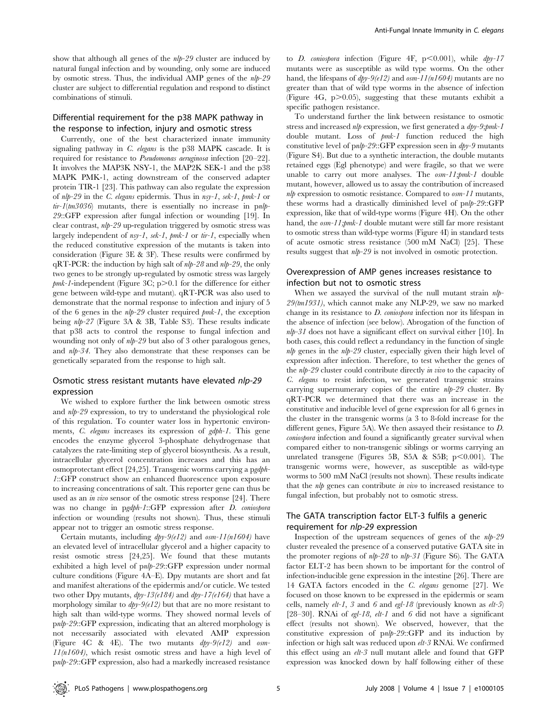show that although all genes of the  $nlp-29$  cluster are induced by natural fungal infection and by wounding, only some are induced by osmotic stress. Thus, the individual AMP genes of the nlp-29 cluster are subject to differential regulation and respond to distinct combinations of stimuli.

# Differential requirement for the p38 MAPK pathway in the response to infection, injury and osmotic stress

Currently, one of the best characterized innate immunity signaling pathway in C. elegans is the p38 MAPK cascade. It is required for resistance to Pseudomonas aeruginosa infection [20–22]. It involves the MAP3K NSY-1, the MAP2K SEK-1 and the p38 MAPK PMK-1, acting downstream of the conserved adapter protein TIR-1 [23]. This pathway can also regulate the expression of nlp-29 in the C. elegans epidermis. Thus in nsy-1, sek-1, pmk-1 or  $tri$ - $1$ (tm3036) mutants, there is essentially no increase in pnlb-29::GFP expression after fungal infection or wounding [19]. In clear contrast, nlp-29 up-regulation triggered by osmotic stress was largely independent of nsy-1, sek-1, pmk-1 or tir-1, especially when the reduced constitutive expression of the mutants is taken into consideration (Figure 3E & 3F). These results were confirmed by qRT-PCR: the induction by high salt of  $nlp-28$  and  $nlp-29$ , the only two genes to be strongly up-regulated by osmotic stress was largely  $pmk$ -1-independent (Figure 3C; p $>$ 0.1 for the difference for either gene between wild-type and mutant). qRT-PCR was also used to demonstrate that the normal response to infection and injury of 5 of the 6 genes in the  $nlp-29$  cluster required  $pmk-1$ , the exception being nlp-27 (Figure 3A & 3B, Table S3). These results indicate that p38 acts to control the response to fungal infection and wounding not only of nlp-29 but also of 3 other paralogous genes, and nlp-34. They also demonstrate that these responses can be genetically separated from the response to high salt.

# Osmotic stress resistant mutants have elevated nlp-29 expression

We wished to explore further the link between osmotic stress and nlp-29 expression, to try to understand the physiological role of this regulation. To counter water loss in hypertonic environments, C. elegans increases its expression of gdph-1. This gene encodes the enzyme glycerol 3-phosphate dehydrogenase that catalyzes the rate-limiting step of glycerol biosynthesis. As a result, intracellular glycerol concentration increases and this has an osmoprotectant effect [24,25]. Transgenic worms carrying a pgdph-1::GFP construct show an enhanced fluorescence upon exposure to increasing concentrations of salt. This reporter gene can thus be used as an *in vivo* sensor of the osmotic stress response [24]. There was no change in pgdph-1::GFP expression after *D. coniospora* infection or wounding (results not shown). Thus, these stimuli appear not to trigger an osmotic stress response.

Certain mutants, including  $dpy-9(e12)$  and  $osm-11(n1604)$  have an elevated level of intracellular glycerol and a higher capacity to resist osmotic stress [24,25]. We found that these mutants exhibited a high level of pnlp-29::GFP expression under normal culture conditions (Figure 4A–E). Dpy mutants are short and fat and manifest alterations of the epidermis and/or cuticle. We tested two other Dpy mutants,  $dpy$ -13(e184) and  $dpy$ -17(e164) that have a morphology similar to  $dpy-9(e12)$  but that are no more resistant to high salt than wild-type worms. They showed normal levels of pnlp-29::GFP expression, indicating that an altered morphology is not necessarily associated with elevated AMP expression (Figure 4C & 4E). The two mutants  $dpp-9(e12)$  and  $osm 11(n1604)$ , which resist osmotic stress and have a high level of pnlp-29::GFP expression, also had a markedly increased resistance

to D. coniospora infection (Figure 4F,  $p<0.001$ ), while  $dpy-17$ mutants were as susceptible as wild type worms. On the other hand, the lifespans of  $dpy-9e/2$  and  $osm-11(n1604)$  mutants are no greater than that of wild type worms in the absence of infection (Figure 4G,  $p > 0.05$ ), suggesting that these mutants exhibit a specific pathogen resistance.

To understand further the link between resistance to osmotic stress and increased  $nlp$  expression, we first generated a  $dpv-9$ ;  $pmk-1$ double mutant. Loss of pmk-1 function reduced the high constitutive level of  $p_n/p-29::GFP$  expression seen in  $dp_1 \cdot 9$  mutants (Figure S4). But due to a synthetic interaction, the double mutants retained eggs (Egl phenotype) and were fragile, so that we were unable to carry out more analyses. The  $osm-11$ ;  $bmk-1$  double mutant, however, allowed us to assay the contribution of increased  $nlp$  expression to osmotic resistance. Compared to  $osm-11$  mutants, these worms had a drastically diminished level of pnlp-29::GFP expression, like that of wild-type worms (Figure 4H). On the other hand, the  $\omega_{sm}$ -11;  $\omega_{mk}$ -1 double mutant were still far more resistant to osmotic stress than wild-type worms (Figure 4I) in standard tests of acute osmotic stress resistance (500 mM NaCl) [25]. These results suggest that nlp-29 is not involved in osmotic protection.

# Overexpression of AMP genes increases resistance to infection but not to osmotic stress

When we assayed the survival of the null mutant strain  $nlp$ -29(tm1931), which cannot make any NLP-29, we saw no marked change in its resistance to D. coniospora infection nor its lifespan in the absence of infection (see below). Abrogation of the function of  $nlp-31$  does not have a significant effect on survival either [10]. In both cases, this could reflect a redundancy in the function of single nlp genes in the nlp-29 cluster, especially given their high level of expression after infection. Therefore, to test whether the genes of the nlp-29 cluster could contribute directly in vivo to the capacity of C. elegans to resist infection, we generated transgenic strains carrying supernumerary copies of the entire nlp-29 cluster. By qRT-PCR we determined that there was an increase in the constitutive and inducible level of gene expression for all 6 genes in the cluster in the transgenic worms (a 3 to 8-fold increase for the different genes, Figure 5A). We then assayed their resistance to D. coniospora infection and found a significantly greater survival when compared either to non-transgenic siblings or worms carrying an unrelated transgene (Figures 5B, S5A & S5B;  $p<0.001$ ). The transgenic worms were, however, as susceptible as wild-type worms to 500 mM NaCl (results not shown). These results indicate that the  $nlp$  genes can contribute in vivo to increased resistance to fungal infection, but probably not to osmotic stress.

# The GATA transcription factor ELT-3 fulfils a generic requirement for nlp-29 expression

Inspection of the upstream sequences of genes of the  $nlp-29$ cluster revealed the presence of a conserved putative GATA site in the promoter regions of  $nlp-28$  to  $nlp-31$  (Figure S6). The GATA factor ELT-2 has been shown to be important for the control of infection-inducible gene expression in the intestine [26]. There are 14 GATA factors encoded in the C. elegans genome [27]. We focused on those known to be expressed in the epidermis or seam cells, namely  $elt-1$ , 3 and 6 and egl-18 (previously known as  $elt-5$ ) [28–30]. RNAi of egl-18, elt-1 and 6 did not have a significant effect (results not shown). We observed, however, that the constitutive expression of pnlp-29::GFP and its induction by infection or high salt was reduced upon elt-3 RNAi. We confirmed this effect using an elt-3 null mutant allele and found that GFP expression was knocked down by half following either of these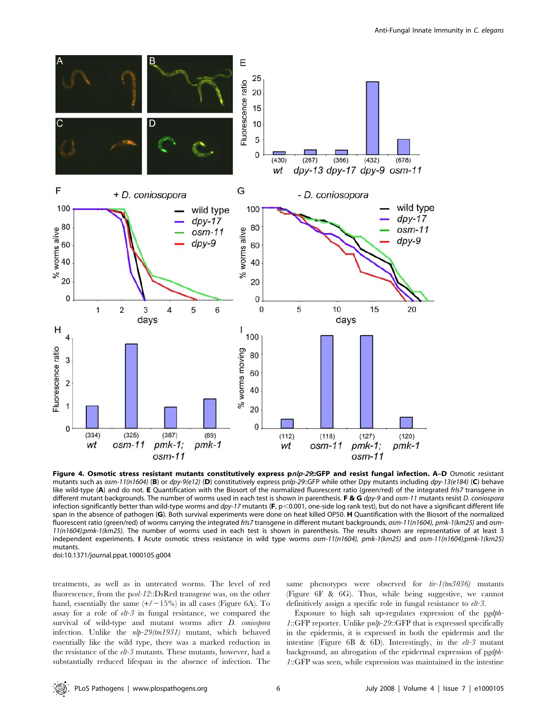

Figure 4. Osmotic stress resistant mutants constitutively express pnlp-29::GFP and resist fungal infection. A-D Osmotic resistant mutants such as osm-11(n1604) (B) or dpy-9(e12) (D) constitutively express pnlp-29::GFP while other Dpy mutants including dpy-13(e184) (C) behave like wild-type (A) and do not. E Quantification with the Biosort of the normalized fluorescent ratio (green/red) of the integrated frIs7 transgene in different mutant backgrounds. The number of worms used in each test is shown in parenthesis. F & G  $dpy-9$  and osm-11 mutants resist D. coniospora infection significantly better than wild-type worms and dpy-17 mutants (F, p<0.001, one-side log rank test), but do not have a significant different life span in the absence of pathogen (G). Both survival experiments were done on heat killed OP50. H Quantification with the Biosort of the normalized fluorescent ratio (green/red) of worms carrying the integrated frIs7 transgene in different mutant backgrounds, osm-11(n1604), pmk-1(km25) and osm-11(n1604);pmk-1(km25). The number of worms used in each test is shown in parenthesis. The results shown are representative of at least 3 independent experiments. I Acute osmotic stress resistance in wild type worms osm-11(n1604), pmk-1(km25) and osm-11(n1604);pmk-1(km25) mutants.

doi:10.1371/journal.ppat.1000105.g004

treatments, as well as in untreated worms. The level of red fluorescence, from the pcol-12::DsRed transgene was, on the other hand, essentially the same  $(+/-15%)$  in all cases (Figure 6A). To assay for a role of elt-3 in fungal resistance, we compared the survival of wild-type and mutant worms after *D. coniospora* infection. Unlike the nlp-29(tm1931) mutant, which behaved essentially like the wild type, there was a marked reduction in the resistance of the elt-3 mutants. These mutants, however, had a substantially reduced lifespan in the absence of infection. The

same phenotypes were observed for  $tir-l$ (tm3036) mutants (Figure 6F & 6G). Thus, while being suggestive, we cannot definitively assign a specific role in fungal resistance to  $elt-3$ .

Exposure to high salt up-regulates expression of the pgdph-1::GFP reporter. Unlike pnlp-29::GFP that is expressed specifically in the epidermis, it is expressed in both the epidermis and the intestine (Figure 6B & 6D). Interestingly, in the elt-3 mutant background, an abrogation of the epidermal expression of pgdph-1::GFP was seen, while expression was maintained in the intestine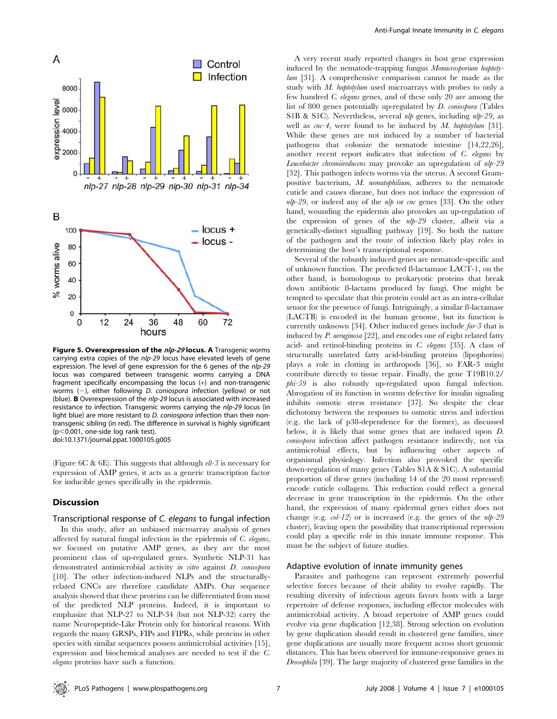

Figure 5. Overexpression of the nlp-29 locus. A Transgenic worms carrying extra copies of the nlp-29 locus have elevated levels of gene expression. The level of gene expression for the 6 genes of the nlp-29 locus was compared between transgenic worms carrying a DNA fragment specifically encompassing the locus (+) and non-transgenic worms  $(-)$ , either following D. coniospora infection (yellow) or not (blue). **B** Overexpression of the  $nlp-29$  locus is associated with increased resistance to infection. Transgenic worms carrying the nlp-29 locus (in light blue) are more resistant to D. coniospora infection than their nontransgenic sibling (in red). The difference in survival is highly significant  $(p<0.001$ , one-side log rank test). doi:10.1371/journal.ppat.1000105.g005

(Figure 6C & 6E). This suggests that although  $elt-3$  is necessary for expression of AMP genes, it acts as a generic transcription factor for inducible genes specifically in the epidermis.

#### Discussion

## Transcriptional response of C. elegans to fungal infection

In this study, after an unbiased microarray analysis of genes affected by natural fungal infection in the epidermis of  $C$ . elegans, we focused on putative AMP genes, as they are the most prominent class of up-regulated genes. Synthetic NLP-31 has demonstrated antimicrobial activity in vitro against D. coniospora [10]. The other infection-induced NLPs and the structurallyrelated CNCs are therefore candidate AMPs. Our sequence analysis showed that these proteins can be differentiated from most of the predicted NLP proteins. Indeed, it is important to emphasize that NLP-27 to NLP-34 (but not NLP-32) carry the name Neuropeptide-Like Protein only for historical reasons. With regards the many GRSPs, FIPs and FIPRs, while proteins in other species with similar sequences possess antimicrobial activities [15], expression and biochemical analyses are needed to test if the C. elegans proteins have such a function.

A very recent study reported changes in host gene expression induced by the nematode-trapping fungus Monacrosporium haptotylum [31]. A comprehensive comparison cannot be made as the study with M. haptotylum used microarrays with probes to only a few hundred C. elegans genes, and of these only 20 are among the list of 800 genes potentially up-regulated by D. coniospora (Tables S1B & S1C). Nevertheless, several *nlp* genes, including *nlp-29*, as well as  $\textit{cnc-4}$ , were found to be induced by M. haptotylum [31]. While these genes are not induced by a number of bacterial pathogens that colonize the nematode intestine [14,22,26], another recent report indicates that infection of C. elegans by Leucobacter chromiireducens may provoke an upregulation of nlp-29 [32]. This pathogen infects worms via the uterus. A second Grampositive bacterium, M. nematophilium, adheres to the nematode cuticle and causes disease, but does not induce the expression of  $nlp-29$ , or indeed any of the  $nlp$  or cnc genes [33]. On the other hand, wounding the epidermis also provokes an up-regulation of the expression of genes of the nlp-29 cluster, albeit via a genetically-distinct signalling pathway [19]. So both the nature of the pathogen and the route of infection likely play roles in determining the host's transcriptional response.

Several of the robustly induced genes are nematode-specific and of unknown function. The predicted ß-lactamase LACT-1, on the other hand, is homologous to prokaryotic proteins that break down antibiotic ß-lactams produced by fungi. One might be tempted to speculate that this protein could act as an intra-cellular sensor for the presence of fungi. Intriguingly, a similar ß-lactamase (LACTB) is encoded in the human genome, but its function is currently unknown [34]. Other induced genes include far-3 that is induced by P. aeruginosa [22], and encodes one of eight related fatty acid- and retinol-binding proteins in C. elegans [35]. A class of structurally unrelated fatty acid-binding proteins (lipophorins) plays a role in clotting in arthropods [36], so FAR-3 might contribute directly to tissue repair. Finally, the gene T19B10.2/ phi-59 is also robustly up-regulated upon fungal infection. Abrogation of its function in worms defective for insulin signaling inhibits osmotic stress resistance [37]. So despite the clear dichotomy between the responses to osmotic stress and infection (e.g. the lack of p38-dependence for the former), as discussed below, it is likely that some genes that are induced upon D. coniospora infection affect pathogen resistance indirectly, not via antimicrobial effects, but by influencing other aspects of organismal physiology. Infection also provoked the specific down-regulation of many genes (Tables S1A & S1C). A substantial proportion of these genes (including 14 of the 20 most repressed) encode cuticle collagens. This reduction could reflect a general decrease in gene transcription in the epidermis. On the other hand, the expression of many epidermal genes either does not change (e.g.  $col-12$ ) or is increased (e.g. the genes of the  $nlp-29$ cluster), leaving open the possibility that transcriptional repression could play a specific role in this innate immune response. This must be the subject of future studies.

#### Adaptive evolution of innate immunity genes

Parasites and pathogens can represent extremely powerful selective forces because of their ability to evolve rapidly. The resulting diversity of infectious agents favors hosts with a large repertoire of defense responses, including effector molecules with antimicrobial activity. A broad repertoire of AMP genes could evolve via gene duplication [12,38]. Strong selection on evolution by gene duplication should result in clustered gene families, since gene duplications are usually more frequent across short genomic distances. This has been observed for immune-responsive genes in Drosophila [39]. The large majority of clustered gene families in the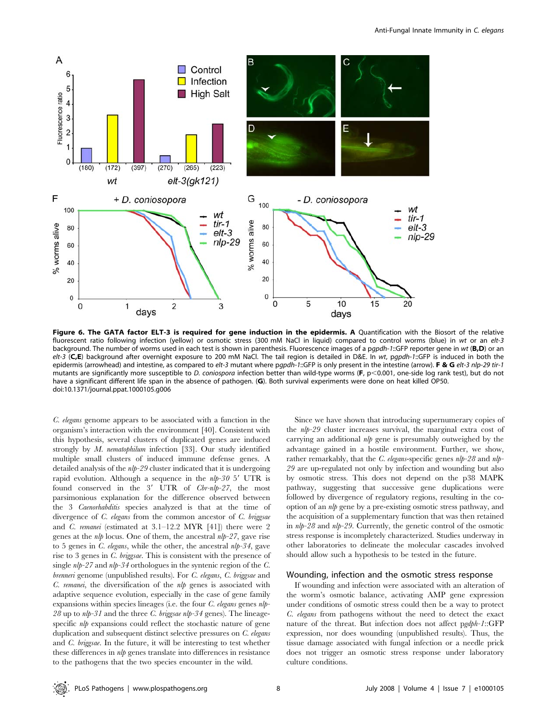

Figure 6. The GATA factor ELT-3 is required for gene induction in the epidermis. A Quantification with the Biosort of the relative fluorescent ratio following infection (yellow) or osmotic stress (300 mM NaCl in liquid) compared to control worms (blue) in wt or an elt-3 background. The number of worms used in each test is shown in parenthesis. Fluorescence images of a pgpdh-1::GFP reporter gene in wt (B,D) or an elt-3 (C,E) background after overnight exposure to 200 mM NaCl. The tail region is detailed in D&E. In wt, pgpdh-1::GFP is induced in both the epidermis (arrowhead) and intestine, as compared to elt-3 mutant where pgpdh-1::GFP is only present in the intestine (arrow). F & G elt-3 nlp-29 tir-1 mutants are significantly more susceptible to D. coniospora infection better than wild-type worms (F, p<0.001, one-side log rank test), but do not have a significant different life span in the absence of pathogen. (G). Both survival experiments were done on heat killed OP50. doi:10.1371/journal.ppat.1000105.g006

C. elegans genome appears to be associated with a function in the organism's interaction with the environment [40]. Consistent with this hypothesis, several clusters of duplicated genes are induced strongly by M. nematophilum infection [33]. Our study identified multiple small clusters of induced immune defense genes. A detailed analysis of the *nlp-29* cluster indicated that it is undergoing rapid evolution. Although a sequence in the  $nlp-30$  5' UTR is found conserved in the  $3'$  UTR of  $Chr-nlp-27$ , the most parsimonious explanation for the difference observed between the 3 Caenorhabditis species analyzed is that at the time of divergence of C. elegans from the common ancestor of C. briggsae and C. remanei (estimated at 3.1–12.2 MYR [41]) there were 2 genes at the  $nlp$  locus. One of them, the ancestral  $nlp-27$ , gave rise to 5 genes in C. elegans, while the other, the ancestral nlp-34, gave rise to 3 genes in C. briggsae. This is consistent with the presence of single  $nlp-27$  and  $nlp-34$  orthologues in the syntenic region of the C. brenneri genome (unpublished results). For C. elegans, C. briggsae and  $C.$  remanei, the diversification of the  $nlp$  genes is associated with adaptive sequence evolution, especially in the case of gene family expansions within species lineages (i.e. the four  $C$ . elegans genes nlp- $28$  up to  $nlp-31$  and the three *C. briggsae nlp-34* genes). The lineagespecific  $nlp$  expansions could reflect the stochastic nature of gene duplication and subsequent distinct selective pressures on C. elegans and C. briggsae. In the future, it will be interesting to test whether these differences in nlp genes translate into differences in resistance to the pathogens that the two species encounter in the wild.

Since we have shown that introducing supernumerary copies of the nlp-29 cluster increases survival, the marginal extra cost of carrying an additional  $nlp$  gene is presumably outweighed by the advantage gained in a hostile environment. Further, we show, rather remarkably, that the *C. elegans*-specific genes  $nlp-28$  and  $nlp-$ 29 are up-regulated not only by infection and wounding but also by osmotic stress. This does not depend on the p38 MAPK pathway, suggesting that successive gene duplications were followed by divergence of regulatory regions, resulting in the cooption of an nlp gene by a pre-existing osmotic stress pathway, and the acquisition of a supplementary function that was then retained in nlp-28 and nlp-29. Currently, the genetic control of the osmotic stress response is incompletely characterized. Studies underway in other laboratories to delineate the molecular cascades involved should allow such a hypothesis to be tested in the future.

## Wounding, infection and the osmotic stress response

If wounding and infection were associated with an alteration of the worm's osmotic balance, activating AMP gene expression under conditions of osmotic stress could then be a way to protect C. elegans from pathogens without the need to detect the exact nature of the threat. But infection does not affect pgdph-1::GFP expression, nor does wounding (unpublished results). Thus, the tissue damage associated with fungal infection or a needle prick does not trigger an osmotic stress response under laboratory culture conditions.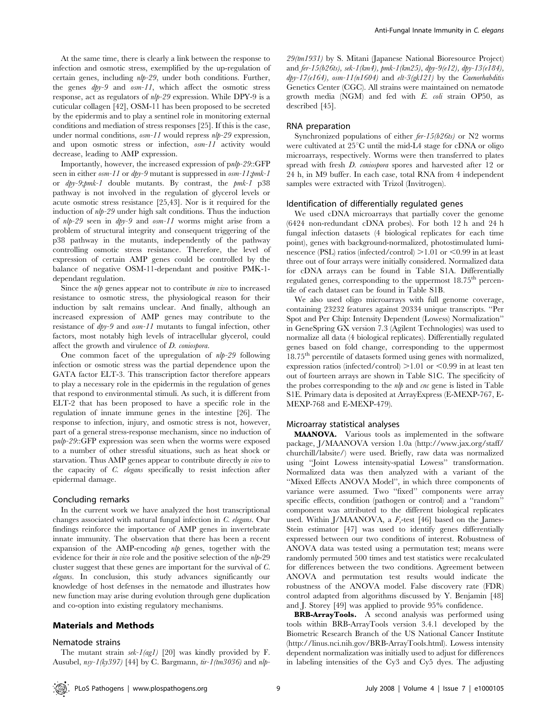At the same time, there is clearly a link between the response to infection and osmotic stress, exemplified by the up-regulation of certain genes, including nlp-29, under both conditions. Further, the genes  $dpy-9$  and  $osm-11$ , which affect the osmotic stress response, act as regulators of nlp-29 expression. While DPY-9 is a cuticular collagen [42], OSM-11 has been proposed to be secreted by the epidermis and to play a sentinel role in monitoring external conditions and mediation of stress responses [25]. If this is the case, under normal conditions,  $\omega m$ -11 would repress  $nlp$ -29 expression, and upon osmotic stress or infection, osm-11 activity would decrease, leading to AMP expression.

Importantly, however, the increased expression of pnlp-29::GFP seen in either  $osm-11$  or  $dpy-9$  mutant is suppressed in  $osm-11$ ; pmk-1 or dpy-9;pmk-1 double mutants. By contrast, the pmk-1 p38 pathway is not involved in the regulation of glycerol levels or acute osmotic stress resistance [25,43]. Nor is it required for the induction of nlp-29 under high salt conditions. Thus the induction of nlp-29 seen in dpy-9 and osm-11 worms might arise from a problem of structural integrity and consequent triggering of the p38 pathway in the mutants, independently of the pathway controlling osmotic stress resistance. Therefore, the level of expression of certain AMP genes could be controlled by the balance of negative OSM-11-dependant and positive PMK-1 dependant regulation.

Since the  $nlp$  genes appear not to contribute  $in$  vivo to increased resistance to osmotic stress, the physiological reason for their induction by salt remains unclear. And finally, although an increased expression of AMP genes may contribute to the resistance of dpy-9 and osm-11 mutants to fungal infection, other factors, most notably high levels of intracellular glycerol, could affect the growth and virulence of D. coniospora.

One common facet of the upregulation of  $nlp-29$  following infection or osmotic stress was the partial dependence upon the GATA factor ELT-3. This transcription factor therefore appears to play a necessary role in the epidermis in the regulation of genes that respond to environmental stimuli. As such, it is different from ELT-2 that has been proposed to have a specific role in the regulation of innate immune genes in the intestine [26]. The response to infection, injury, and osmotic stress is not, however, part of a general stress-response mechanism, since no induction of pnlp-29::GFP expression was seen when the worms were exposed to a number of other stressful situations, such as heat shock or starvation. Thus AMP genes appear to contribute directly in vivo to the capacity of C. elegans specifically to resist infection after epidermal damage.

#### Concluding remarks

In the current work we have analyzed the host transcriptional changes associated with natural fungal infection in C. elegans. Our findings reinforce the importance of AMP genes in invertebrate innate immunity. The observation that there has been a recent expansion of the AMP-encoding  $nlp$  genes, together with the evidence for their *in vivo* role and the positive selection of the *nlp*-29 cluster suggest that these genes are important for the survival of C. elegans. In conclusion, this study advances significantly our knowledge of host defenses in the nematode and illustrates how new function may arise during evolution through gene duplication and co-option into existing regulatory mechanisms.

## Materials and Methods

#### Nematode strains

29(tm1931) by S. Mitani (Japanese National Bioresource Project) and fer-15(b26ts), sek-1(km4), pmk-1(km25), dpy-9(e12), dpy-13(e184),  $dpy-17(e164)$ , osm-11(n1604) and elt-3(gk121) by the Caenorhabditis Genetics Center (CGC). All strains were maintained on nematode growth media (NGM) and fed with E. coli strain OP50, as described [45].

# RNA preparation

Synchronized populations of either  $\ell r$ -15(b26ts) or N2 worms were cultivated at  $25^{\circ}$ C until the mid-L4 stage for cDNA or oligo microarrays, respectively. Worms were then transferred to plates spread with fresh *D. coniospora* spores and harvested after 12 or 24 h, in M9 buffer. In each case, total RNA from 4 independent samples were extracted with Trizol (Invitrogen).

## Identification of differentially regulated genes

We used cDNA microarrays that partially cover the genome (6424 non-redundant cDNA probes). For both 12 h and 24 h fungal infection datasets (4 biological replicates for each time point), genes with background-normalized, photostimulated luminescence (PSL) ratios (infected/control)  $>1.01$  or <0.99 in at least three out of four arrays were initially considered. Normalized data for cDNA arrays can be found in Table S1A. Differentially regulated genes, corresponding to the uppermost 18.75<sup>th</sup> percentile of each dataset can be found in Table S1B.

We also used oligo microarrays with full genome coverage, containing 23232 features against 20334 unique transcripts. ''Per Spot and Per Chip: Intensity Dependent (Lowess) Normalization'' in GeneSpring GX version 7.3 (Agilent Technologies) was used to normalize all data (4 biological replicates). Differentially regulated genes based on fold change, corresponding to the uppermost 18.75<sup>th</sup> percentile of datasets formed using genes with normalized, expression ratios (infected/control)  $>1.01$  or <0.99 in at least ten out of fourteen arrays are shown in Table S1C. The specificity of the probes corresponding to the  $nlp$  and  $cnc$  gene is listed in Table S1E. Primary data is deposited at ArrayExpress (E-MEXP-767, E-MEXP-768 and E-MEXP-479).

# Microarray statistical analyses

MAANOVA. Various tools as implemented in the software package, J/MAANOVA version 1.0a (http://www.jax.org/staff/ churchill/labsite/) were used. Briefly, raw data was normalized using ''Joint Lowess intensity-spatial Lowess'' transformation. Normalized data was then analyzed with a variant of the ''Mixed Effects ANOVA Model'', in which three components of variance were assumed. Two ''fixed'' components were array specific effects, condition (pathogen or control) and a "random" component was attributed to the different biological replicates used. Within J/MAANOVA, a  $F_s$ -test [46] based on the James-Stein estimator [47] was used to identify genes differentially expressed between our two conditions of interest. Robustness of ANOVA data was tested using a permutation test; means were randomly permuted 500 times and test statistics were recalculated for differences between the two conditions. Agreement between ANOVA and permutation test results would indicate the robustness of the ANOVA model. False discovery rate (FDR) control adapted from algorithms discussed by Y. Benjamin [48] and J. Storey [49] was applied to provide 95% confidence.

BRB-ArrayTools. A second analysis was performed using tools within BRB-ArrayTools version 3.4.1 developed by the Biometric Research Branch of the US National Cancer Institute (http://linus.nci.nih.gov/BRB-ArrayTools.html). Lowess intensity dependent normalization was initially used to adjust for differences in labeling intensities of the Cy3 and Cy5 dyes. The adjusting

The mutant strain  $sek-I(agl)$  [20] was kindly provided by F. Ausubel,  $nsy-1(ky397)$  [44] by C. Bargmann,  $\frac{ir-1}{tm3036}$  and  $\frac{nlp-1}{m}$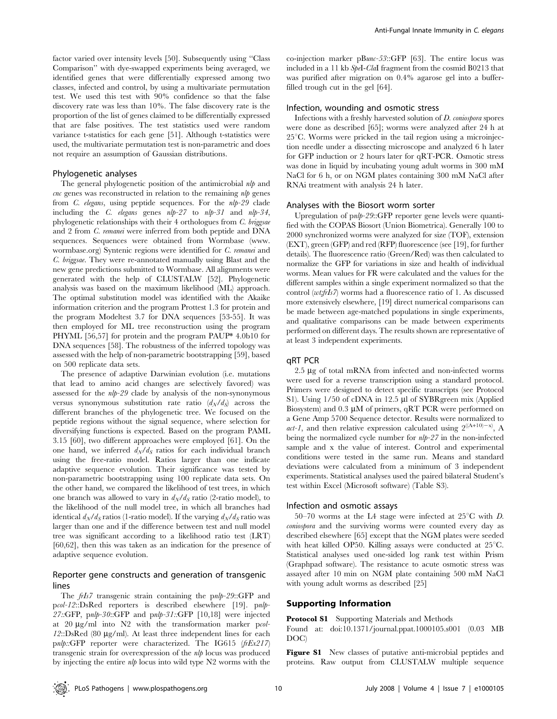factor varied over intensity levels [50]. Subsequently using ''Class Comparison'' with dye-swapped experiments being averaged, we identified genes that were differentially expressed among two classes, infected and control, by using a multivariate permutation test. We used this test with 90% confidence so that the false discovery rate was less than 10%. The false discovery rate is the proportion of the list of genes claimed to be differentially expressed that are false positives. The test statistics used were random variance t-statistics for each gene [51]. Although t-statistics were used, the multivariate permutation test is non-parametric and does not require an assumption of Gaussian distributions.

### Phylogenetic analyses

The general phylogenetic position of the antimicrobial  $nlp$  and  $\mathit{cnc}$  genes was reconstructed in relation to the remaining  $\mathit{nlp}$  genes from C. elegans, using peptide sequences. For the nlp-29 clade including the C. elegans genes nlp-27 to nlp-31 and nlp-34, phylogenetic relationships with their 4 orthologues from C. briggsae and 2 from C. remanei were inferred from both peptide and DNA sequences. Sequences were obtained from Wormbase (www. wormbase.org) Syntenic regions were identified for C. remanei and C. briggsae. They were re-annotated manually using Blast and the new gene predictions submitted to Wormbase. All alignments were generated with the help of CLUSTALW [52]. Phylogenetic analysis was based on the maximum likelihood (ML) approach. The optimal substitution model was identified with the Akaike information criterion and the program Prottest 1.3 for protein and the program Modeltest 3.7 for DNA sequences [53-55]. It was then employed for ML tree reconstruction using the program PHYML [56,57] for protein and the program PAUP\* 4.0b10 for DNA sequences [58]. The robustness of the inferred topology was assessed with the help of non-parametric bootstrapping [59], based on 500 replicate data sets.

The presence of adaptive Darwinian evolution (i.e. mutations that lead to amino acid changes are selectively favored) was assessed for the nlp-29 clade by analysis of the non-synonymous versus synonymous substitution rate ratio  $(d_N/d_S)$  across the different branches of the phylogenetic tree. We focused on the peptide regions without the signal sequence, where selection for diversifying functions is expected. Based on the program PAML 3.15 [60], two different approaches were employed [61]. On the one hand, we inferred  $d_N/d_S$  ratios for each individual branch using the free-ratio model. Ratios larger than one indicate adaptive sequence evolution. Their significance was tested by non-parametric bootstrapping using 100 replicate data sets. On the other hand, we compared the likelihood of test trees, in which one branch was allowed to vary in  $d_N/d_S$  ratio (2-ratio model), to the likelihood of the null model tree, in which all branches had identical  $d_N/d_S$  ratios (1-ratio model). If the varying  $d_N/d_S$  ratio was larger than one and if the difference between test and null model tree was significant according to a likelihood ratio test (LRT) [60,62], then this was taken as an indication for the presence of adaptive sequence evolution.

# Reporter gene constructs and generation of transgenic lines

The *frIs7* transgenic strain containing the *pnlp-29*::GFP and pcol-12::DsRed reporters is described elsewhere [19]. pnlp-27::GFP, pnlp-30::GFP and pnlp-31::GFP [10,18] were injected at  $20 \mu g/ml$  into N2 with the transformation marker pcol- $12::DsRed$  (80  $\mu$ g/ml). At least three independent lines for each pnlp::GFP reporter were characterized. The IG615  $(frEx217)$ transgenic strain for overexpression of the nlp locus was produced by injecting the entire  $nlp$  locus into wild type N2 worms with the co-injection marker pBunc-53::GFP [63]. The entire locus was included in a 11 kb SpeI-ClaI fragment from the cosmid B0213 that was purified after migration on 0.4% agarose gel into a bufferfilled trough cut in the gel [64].

## Infection, wounding and osmotic stress

Infections with a freshly harvested solution of D. coniospora spores were done as described [65]; worms were analyzed after 24 h at  $25^{\circ}$ C. Worms were pricked in the tail region using a microinjection needle under a dissecting microscope and analyzed 6 h later for GFP induction or 2 hours later for qRT-PCR. Osmotic stress was done in liquid by incubating young adult worms in 300 mM NaCl for 6 h, or on NGM plates containing 300 mM NaCl after RNAi treatment with analysis 24 h later.

#### Analyses with the Biosort worm sorter

Upregulation of pnlp-29::GFP reporter gene levels were quantified with the COPAS Biosort (Union Biometrica). Generally 100 to 2000 synchronized worms were analyzed for size (TOF), extension (EXT), green (GFP) and red (RFP) fluorescence (see [19], for further details). The fluorescence ratio (Green/Red) was then calculated to normalize the GFP for variations in size and health of individual worms. Mean values for FR were calculated and the values for the different samples within a single experiment normalized so that the control (wtfrIs7) worms had a fluorescence ratio of 1. As discussed more extensively elsewhere, [19] direct numerical comparisons can be made between age-matched populations in single experiments, and qualitative comparisons can be made between experiments performed on different days. The results shown are representative of at least 3 independent experiments.

## qRT PCR

 $2.5 \mu$ g of total mRNA from infected and non-infected worms were used for a reverse transcription using a standard protocol. Primers were designed to detect specific transcripts (see Protocol S1). Using 1/50 of cDNA in 12.5 µl of SYBRgreen mix (Applied Biosystem) and  $0.3 \mu M$  of primers, qRT PCR were performed on a Gene Amp 5700 Sequence detector. Results were normalized to act-1, and then relative expression calculated using  $2^{((A+10)-x)}$ , A being the normalized cycle number for nlp-27 in the non-infected sample and x the value of interest. Control and experimental conditions were tested in the same run. Means and standard deviations were calculated from a minimum of 3 independent experiments. Statistical analyses used the paired bilateral Student's test within Excel (Microsoft software) (Table S3).

#### Infection and osmotic assays

50–70 worms at the L4 stage were infected at  $25^{\circ}$ C with D. coniospora and the surviving worms were counted every day as described elsewhere [65] except that the NGM plates were seeded with heat killed OP50. Killing assays were conducted at  $25^{\circ}$ C. Statistical analyses used one-sided log rank test within Prism (Graphpad software). The resistance to acute osmotic stress was assayed after 10 min on NGM plate containing 500 mM NaCl with young adult worms as described [25]

## Supporting Information

Protocol S1 Supporting Materials and Methods

Found at: doi:10.1371/journal.ppat.1000105.s001 (0.03 MB DOC)

Figure S1 New classes of putative anti-microbial peptides and proteins. Raw output from CLUSTALW multiple sequence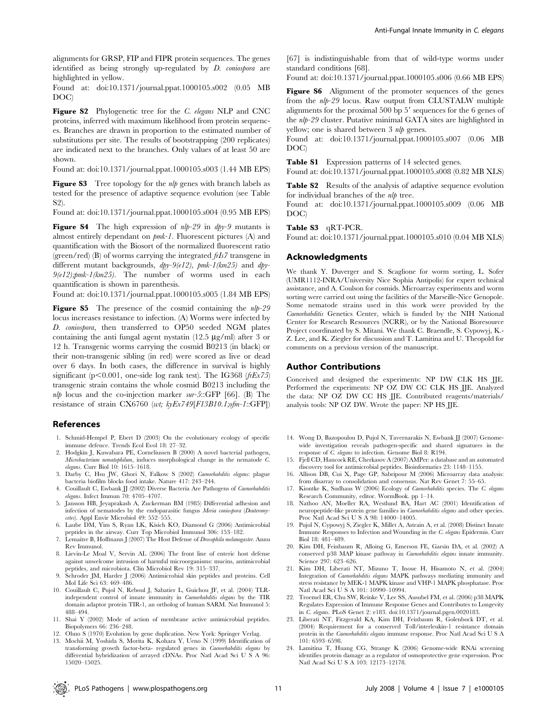alignments for GRSP, FIP and FIPR protein sequences. The genes identified as being strongly up-regulated by D. coniospora are highlighted in yellow.

Found at: doi:10.1371/journal.ppat.1000105.s002 (0.05 MB DOC)

Figure S2 Phylogenetic tree for the C. elegans NLP and CNC proteins, inferred with maximum likelihood from protein sequences. Branches are drawn in proportion to the estimated number of substitutions per site. The results of bootstrapping (200 replicates) are indicated next to the branches. Only values of at least 50 are shown.

Found at: doi:10.1371/journal.ppat.1000105.s003 (1.44 MB EPS)

Figure S3 Tree topology for the nlp genes with branch labels as tested for the presence of adaptive sequence evolution (see Table S2).

Found at: doi:10.1371/journal.ppat.1000105.s004 (0.95 MB EPS)

**Figure S4** The high expression of  $nlp-29$  in  $dpy-9$  mutants is almost entirely dependant on pmk-1. Fluorescent pictures (A) and quantification with the Biosort of the normalized fluorescent ratio (green/red) (B) of worms carrying the integrated  $f\bar{i}$  transgene in different mutant backgrounds,  $dpy-9(e12)$ ,  $pmk-1(km25)$  and  $dpy 9(e12);pmk-1(km25)$ . The number of worms used in each quantification is shown in parenthesis.

Found at: doi:10.1371/journal.ppat.1000105.s005 (1.84 MB EPS)

**Figure S5** The presence of the cosmid containing the  $nlp-29$ locus increases resistance to infection. (A) Worms were infected by D. coniospora, then transferred to OP50 seeded NGM plates containing the anti-fungal agent nystatin  $(12.5 \text{ µg/ml})$  after 3 or 12 h. Transgenic worms carrying the cosmid B0213 (in black) or their non-transgenic sibling (in red) were scored as live or dead over 6 days. In both cases, the difference in survival is highly significant (p $\leq$ 0.001, one-side log rank test). The IG368 (frEx75) transgenic strain contains the whole cosmid B0213 including the  $nlp$  locus and the co-injection marker sur-5::GFP [66]. (B) The resistance of strain CX6760 (wt; kyEx749[F13B10.1;ofm-1::GFP])

#### References

- 1. Schmid-Hempel P, Ebert D (2003) On the evolutionary ecology of specific immune defence. Trends Ecol Evol 18: 27–32.
- 2. Hodgkin J, Kuwabara PE, Corneliussen B (2000) A novel bacterial pathogen, Microbacterium nematophilum, induces morphological change in the nematode C. elegans. Curr Biol 10: 1615–1618.
- 3. Darby C, Hsu JW, Ghori N, Falkow S (2002) Caenorhabditis elegans: plague bacteria biofilm blocks food intake. Nature 417: 243–244.
- 4. Couillault C, Ewbank JJ (2002) Diverse Bacteria Are Pathogens of Caenorhabditis elegans. Infect Immun 70: 4705–4707.
- 5. Jansson HB, Jeyaprakash A, Zuckerman BM (1985) Differential adhesion and infection of nematodes by the endoparasitic fungus Meria coniospora (Deuteromycetes). Appl Envir Microbiol 49: 552–555.
- 6. Laube DM, Yim S, Ryan LK, Kisich KO, Diamond G (2006) Antimicrobial peptides in the airway. Curr Top Microbiol Immunol 306: 153–182.
- 7. Lemaitre B, Hoffmann J (2007) The Host Defense of Drosophila melanogaster. Annu Rev Immunol.
- 8. Lievin-Le Moal V, Servin AL (2006) The front line of enteric host defense against unwelcome intrusion of harmful microorganisms: mucins, antimicrobial peptides, and microbiota. Clin Microbiol Rev 19: 315–337.
- 9. Schroder JM, Harder J (2006) Antimicrobial skin peptides and proteins. Cell Mol Life Sci 63: 469–486.
- 10. Couillault C, Pujol N, Reboul J, Sabatier L, Guichou JF, et al. (2004) TLRindependent control of innate immunity in Caenorhabditis elegans by the TIR domain adaptor protein TIR-1, an ortholog of human SARM. Nat Immunol 5: 488–494.
- 11. Shai Y (2002) Mode of action of membrane active antimicrobial peptides. Biopolymers 66: 236–248.
- 12. Ohno S (1970) Evolution by gene duplication. New York: Springer Verlag.
- 13. Mochii M, Yoshida S, Morita K, Kohara Y, Ueno N (1999) Identification of transforming growth factor-beta- regulated genes in Caenorhabditis elegans by differential hybridization of arrayed cDNAs. Proc Natl Acad Sci U S A 96: 15020–15025.

[67] is indistinguishable from that of wild-type worms under standard conditions [68].

Found at: doi:10.1371/journal.ppat.1000105.s006 (0.66 MB EPS)

Figure S6 Alignment of the promoter sequences of the genes from the nlp-29 locus. Raw output from CLUSTALW multiple alignments for the proximal  $500$  bp  $5'$  sequences for the 6 genes of the nlp-29 cluster. Putative minimal GATA sites are highlighted in yellow; one is shared between 3 *nlp* genes.

Found at: doi:10.1371/journal.ppat.1000105.s007 (0.06 MB DOC)

Table S1 Expression patterns of 14 selected genes.

Found at: doi:10.1371/journal.ppat.1000105.s008 (0.82 MB XLS)

Table S2 Results of the analysis of adaptive sequence evolution for individual branches of the nlp tree.

Found at: doi:10.1371/journal.ppat.1000105.s009 (0.06 MB DOC)

#### Table S3 qRT-PCR.

Found at: doi:10.1371/journal.ppat.1000105.s010 (0.04 MB XLS)

### Acknowledgments

We thank Y. Duverger and S. Scaglione for worm sorting, L. Sofer (UMR1112-INRA/University Nice Sophia Antipolis) for expert technical assistance, and A. Coulson for cosmids. Microarray experiments and worm sorting were carried out using the facilities of the Marseille-Nice Genopole. Some nematode strains used in this work were provided by the Caenorhabditis Genetics Center, which is funded by the NIH National Center for Research Resources (NCRR), or by the National Bioresource Project coordinated by S. Mitani. We thank C. Braendle, S. Cypowyj, K.- Z. Lee, and K. Ziegler for discussion and T. Lamitina and U. Theopold for comments on a previous version of the manuscript.

#### Author Contributions

Conceived and designed the experiments: NP DW CLK HS JJE. Performed the experiments: NP OZ DW CC CLK HS JJE. Analyzed the data: NP OZ DW CC HS JJE. Contributed reagents/materials/ analysis tools: NP OZ DW. Wrote the paper: NP HS JJE.

- 14. Wong D, Bazopoulou D, Pujol N, Tavernarakis N, Ewbank JJ (2007) Genomewide investigation reveals pathogen-specific and shared signatures in the response of  $\bar{C}$ . elegans to infection. Genome Biol 8: R194.
- 15. Fjell CD, Hancock RE, Cherkasov A (2007) AMPer: a database and an automated discovery tool for antimicrobial peptides. Bioinformatics 23: 1148–1155.
- 16. Allison DB, Cui X, Page GP, Sabripour M (2006) Microarray data analysis: from disarray to consolidation and consensus. Nat Rev Genet 7: 55–65.
- 17. Kiontke K, Sudhaus W (2006) Ecology of Caenorhabditis species. The C. elegans
- Research Community, editor. WormBook. pp 1–14. 18. Nathoo AN, Moeller RA, Westlund BA, Hart AC (2001) Identification of neuropeptide-like protein gene families in Caenorhabditis elegans and other species. Proc Natl Acad Sci U S A 98: 14000–14005.
- 19. Pujol N, Cypowyj S, Ziegler K, Millet A, Astrain A, et al. (2008) Distinct Innate Immune Responses to Infection and Wounding in the C. elegans Epidermis. Curr Biol 18: 481–489.
- 20. Kim DH, Feinbaum R, Alloing G, Emerson FE, Garsin DA, et al. (2002) A conserved p38 MAP kinase pathway in Caenorhabditis elegans innate immunity. Science 297: 623–626.
- 21. Kim DH, Liberati NT, Mizuno T, Inoue H, Hisamoto N, et al. (2004) Integration of Caenorhabditis elegans MAPK pathways mediating immunity and stress resistance by MEK-1 MAPK kinase and VHP-1 MAPK phosphatase. Proc Natl Acad Sci U S A 101: 10990–10994.
- 22. Troemel ER, Chu SW, Reinke V, Lee SS, Ausubel FM, et al. (2006) p38 MAPK Regulates Expression of Immune Response Genes and Contributes to Longevity in C. elegans. PLoS Genet 2: e183. doi:10.1371/journal.pgen.0020183.
- 23. Liberati NT, Fitzgerald KA, Kim DH, Feinbaum R, Golenbock DT, et al. (2004) Requirement for a conserved Toll/interleukin-1 resistance domain protein in the Caenorhabditis elegans immune response. Proc Natl Acad Sci U S A 101: 6593–6598.
- 24. Lamitina T, Huang CG, Strange K (2006) Genome-wide RNAi screening identifies protein damage as a regulator of osmoprotective gene expression. Proc Natl Acad Sci U S A 103: 12173–12178.